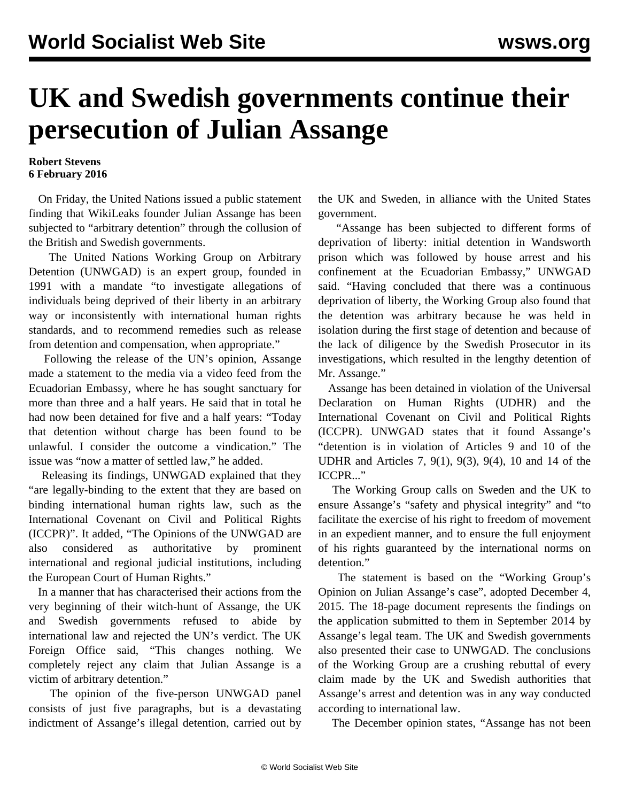## **UK and Swedish governments continue their persecution of Julian Assange**

## **Robert Stevens 6 February 2016**

 On Friday, the United Nations issued a public statement finding that WikiLeaks founder Julian Assange has been subjected to "arbitrary detention" through the collusion of the British and Swedish governments.

 The United Nations Working Group on Arbitrary Detention (UNWGAD) is an expert group, founded in 1991 with a mandate "to investigate allegations of individuals being deprived of their liberty in an arbitrary way or inconsistently with international human rights standards, and to recommend remedies such as release from detention and compensation, when appropriate."

 Following the release of the UN's opinion, Assange made a statement to the media via a video feed from the Ecuadorian Embassy, where he has sought sanctuary for more than three and a half years. He said that in total he had now been detained for five and a half years: "Today that detention without charge has been found to be unlawful. I consider the outcome a vindication." The issue was "now a matter of settled law," he added.

 Releasing its findings, UNWGAD explained that they "are legally-binding to the extent that they are based on binding international human rights law, such as the International Covenant on Civil and Political Rights (ICCPR)". It added, "The Opinions of the UNWGAD are also considered as authoritative by prominent international and regional judicial institutions, including the European Court of Human Rights."

 In a manner that has characterised their actions from the very beginning of their witch-hunt of Assange, the UK and Swedish governments refused to abide by international law and rejected the UN's verdict. The UK Foreign Office said, "This changes nothing. We completely reject any claim that Julian Assange is a victim of arbitrary detention."

 The opinion of the five-person UNWGAD panel consists of just five paragraphs, but is a devastating indictment of Assange's illegal detention, carried out by the UK and Sweden, in alliance with the United States government.

 "Assange has been subjected to different forms of deprivation of liberty: initial detention in Wandsworth prison which was followed by house arrest and his confinement at the Ecuadorian Embassy," UNWGAD said. "Having concluded that there was a continuous deprivation of liberty, the Working Group also found that the detention was arbitrary because he was held in isolation during the first stage of detention and because of the lack of diligence by the Swedish Prosecutor in its investigations, which resulted in the lengthy detention of Mr. Assange."

 Assange has been detained in violation of the Universal Declaration on Human Rights (UDHR) and the International Covenant on Civil and Political Rights (ICCPR). UNWGAD states that it found Assange's "detention is in violation of Articles 9 and 10 of the UDHR and Articles 7, 9(1), 9(3), 9(4), 10 and 14 of the ICCPR..."

 The Working Group calls on Sweden and the UK to ensure Assange's "safety and physical integrity" and "to facilitate the exercise of his right to freedom of movement in an expedient manner, and to ensure the full enjoyment of his rights guaranteed by the international norms on detention."

 The statement is based on the "Working Group's Opinion on Julian Assange's case", adopted December 4, 2015. The 18-page [document](http://www.ohchr.org/Documents/Issues/Detention/A.HRC.WGAD.2015.docx) represents the findings on the application submitted to them in September 2014 by Assange's legal team. The UK and Swedish governments also presented their case to UNWGAD. The conclusions of the Working Group are a crushing rebuttal of every claim made by the UK and Swedish authorities that Assange's arrest and detention was in any way conducted according to international law.

The December opinion states, "Assange has not been